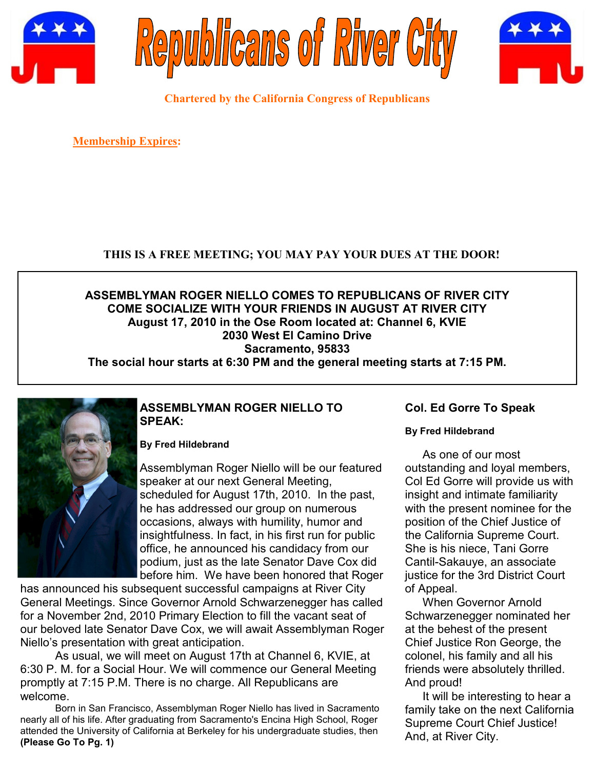





**Chartered by the California Congress of Republicans**

**Membership Expires:** 

# **THIS IS A FREE MEETING; YOU MAY PAY YOUR DUES AT THE DOOR!**

# **ASSEMBLYMAN ROGER NIELLO COMES TO REPUBLICANS OF RIVER CITY COME SOCIALIZE WITH YOUR FRIENDS IN AUGUST AT RIVER CITY August 17, 2010 in the Ose Room located at: Channel 6, KVIE 2030 West El Camino Drive Sacramento, 95833 The social hour starts at 6:30 PM and the general meeting starts at 7:15 PM.**



# **ASSEMBLYMAN ROGER NIELLO TO SPEAK:**

# **By Fred Hildebrand**

Assemblyman Roger Niello will be our featured speaker at our next General Meeting, scheduled for August 17th, 2010. In the past, he has addressed our group on numerous occasions, always with humility, humor and insightfulness. In fact, in his first run for public office, he announced his candidacy from our podium, just as the late Senator Dave Cox did before him. We have been honored that Roger

has announced his subsequent successful campaigns at River City General Meetings. Since Governor Arnold Schwarzenegger has called for a November 2nd, 2010 Primary Election to fill the vacant seat of our beloved late Senator Dave Cox, we will await Assemblyman Roger Niello"s presentation with great anticipation.

As usual, we will meet on August 17th at Channel 6, KVIE, at 6:30 P. M. for a Social Hour. We will commence our General Meeting promptly at 7:15 P.M. There is no charge. All Republicans are welcome.

Born in San Francisco, Assemblyman Roger Niello has lived in Sacramento nearly all of his life. After graduating from Sacramento's Encina High School, Roger attended the University of California at Berkeley for his undergraduate studies, then **(Please Go To Pg. 1)**

# **Col. Ed Gorre To Speak**

# **By Fred Hildebrand**

As one of our most outstanding and loyal members, Col Ed Gorre will provide us with insight and intimate familiarity with the present nominee for the position of the Chief Justice of the California Supreme Court. She is his niece, Tani Gorre Cantil-Sakauye, an associate justice for the 3rd District Court of Appeal.

When Governor Arnold Schwarzenegger nominated her at the behest of the present Chief Justice Ron George, the colonel, his family and all his friends were absolutely thrilled. And proud!

It will be interesting to hear a family take on the next California Supreme Court Chief Justice! And, at River City.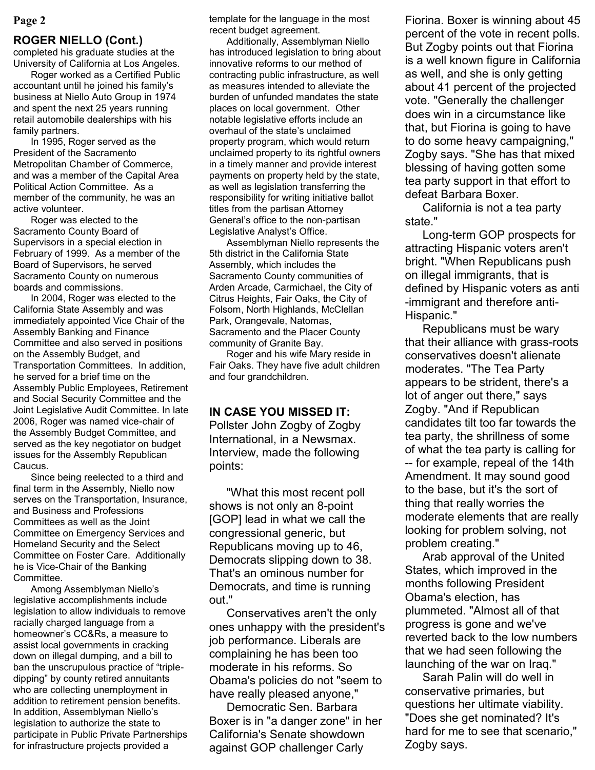# **ROGER NIELLO (Cont.)**

completed his graduate studies at the University of California at Los Angeles.

Roger worked as a Certified Public accountant until he joined his family"s business at Niello Auto Group in 1974 and spent the next 25 years running retail automobile dealerships with his family partners.

In 1995, Roger served as the President of the Sacramento Metropolitan Chamber of Commerce, and was a member of the Capital Area Political Action Committee. As a member of the community, he was an active volunteer.

Roger was elected to the Sacramento County Board of Supervisors in a special election in February of 1999. As a member of the Board of Supervisors, he served Sacramento County on numerous boards and commissions.

In 2004, Roger was elected to the California State Assembly and was immediately appointed Vice Chair of the Assembly Banking and Finance Committee and also served in positions on the Assembly Budget, and Transportation Committees. In addition, he served for a brief time on the Assembly Public Employees, Retirement and Social Security Committee and the Joint Legislative Audit Committee. In late 2006, Roger was named vice-chair of the Assembly Budget Committee, and served as the key negotiator on budget issues for the Assembly Republican Caucus.

Since being reelected to a third and final term in the Assembly, Niello now serves on the Transportation, Insurance, and Business and Professions Committees as well as the Joint Committee on Emergency Services and Homeland Security and the Select Committee on Foster Care. Additionally he is Vice-Chair of the Banking Committee.

Among Assemblyman Niello"s legislative accomplishments include legislation to allow individuals to remove racially charged language from a homeowner"s CC&Rs, a measure to assist local governments in cracking down on illegal dumping, and a bill to ban the unscrupulous practice of "tripledipping" by county retired annuitants who are collecting unemployment in addition to retirement pension benefits. In addition, Assemblyman Niello"s legislation to authorize the state to participate in Public Private Partnerships for infrastructure projects provided a

template for the language in the most recent budget agreement.

Additionally, Assemblyman Niello has introduced legislation to bring about innovative reforms to our method of contracting public infrastructure, as well as measures intended to alleviate the burden of unfunded mandates the state places on local government. Other notable legislative efforts include an overhaul of the state"s unclaimed property program, which would return unclaimed property to its rightful owners in a timely manner and provide interest payments on property held by the state, as well as legislation transferring the responsibility for writing initiative ballot titles from the partisan Attorney General"s office to the non-partisan Legislative Analyst"s Office.

Assemblyman Niello represents the 5th district in the California State Assembly, which includes the Sacramento County communities of Arden Arcade, Carmichael, the City of Citrus Heights, Fair Oaks, the City of Folsom, North Highlands, McClellan Park, Orangevale, Natomas, Sacramento and the Placer County community of Granite Bay.

Roger and his wife Mary reside in Fair Oaks. They have five adult children and four grandchildren.

# **IN CASE YOU MISSED IT:**

Pollster John Zogby of Zogby International, in a Newsmax. Interview, made the following points:

"What this most recent poll shows is not only an 8-point [GOP] lead in what we call the congressional generic, but Republicans moving up to 46, Democrats slipping down to 38. That's an ominous number for Democrats, and time is running out."

Conservatives aren't the only ones unhappy with the president's job performance. Liberals are complaining he has been too moderate in his reforms. So Obama's policies do not "seem to have really pleased anyone,"

Democratic Sen. Barbara Boxer is in "a danger zone" in her California's Senate showdown against GOP challenger Carly

**Page 2** Fiorina. Boxer is winning about 45 percent of the vote in recent polls. But Zogby points out that Fiorina is a well known figure in California as well, and she is only getting about 41 percent of the projected vote. "Generally the challenger does win in a circumstance like that, but Fiorina is going to have to do some heavy campaigning," Zogby says. "She has that mixed blessing of having gotten some tea party support in that effort to defeat Barbara Boxer.

> California is not a tea party state."

Long-term GOP prospects for attracting Hispanic voters aren't bright. "When Republicans push on illegal immigrants, that is defined by Hispanic voters as anti -immigrant and therefore anti-Hispanic."

Republicans must be wary that their alliance with grass-roots conservatives doesn't alienate moderates. "The Tea Party appears to be strident, there's a lot of anger out there," says Zogby. "And if Republican candidates tilt too far towards the tea party, the shrillness of some of what the tea party is calling for -- for example, repeal of the 14th Amendment. It may sound good to the base, but it's the sort of thing that really worries the moderate elements that are really looking for problem solving, not problem creating."

Arab approval of the United States, which improved in the months following President Obama's election, has plummeted. "Almost all of that progress is gone and we've reverted back to the low numbers that we had seen following the launching of the war on Iraq."

Sarah Palin will do well in conservative primaries, but questions her ultimate viability. "Does she get nominated? It's hard for me to see that scenario," Zogby says.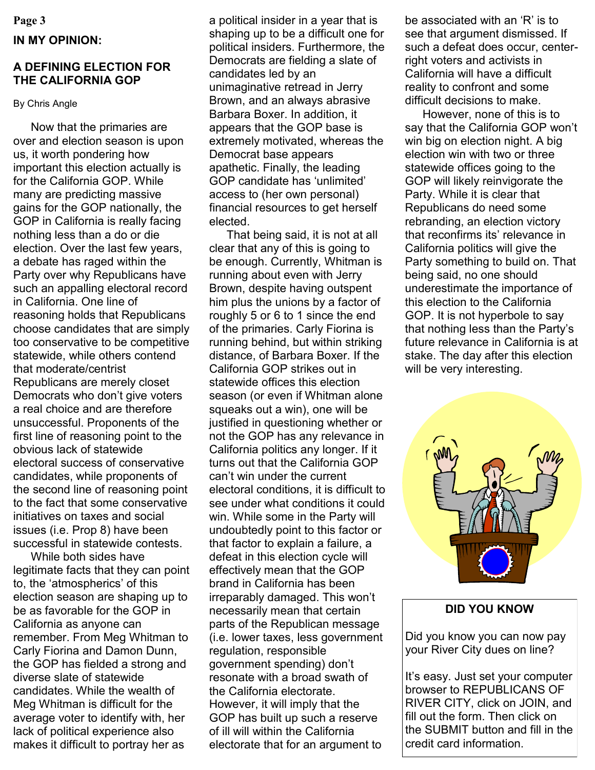#### **Page 3**

## **IN MY OPINION:**

# **A DEFINING ELECTION FOR THE CALIFORNIA GOP**

#### By Chris Angle

Now that the primaries are over and election season is upon us, it worth pondering how important this election actually is for the California GOP. While many are predicting massive gains for the GOP nationally, the GOP in California is really facing nothing less than a do or die election. Over the last few years, a debate has raged within the Party over why Republicans have such an appalling electoral record in California. One line of reasoning holds that Republicans choose candidates that are simply too conservative to be competitive statewide, while others contend that moderate/centrist Republicans are merely closet Democrats who don"t give voters a real choice and are therefore unsuccessful. Proponents of the first line of reasoning point to the obvious lack of statewide electoral success of conservative candidates, while proponents of the second line of reasoning point to the fact that some conservative initiatives on taxes and social issues (i.e. Prop 8) have been successful in statewide contests.

While both sides have legitimate facts that they can point to, the "atmospherics" of this election season are shaping up to be as favorable for the GOP in California as anyone can remember. From Meg Whitman to Carly Fiorina and Damon Dunn, the GOP has fielded a strong and diverse slate of statewide candidates. While the wealth of Meg Whitman is difficult for the average voter to identify with, her lack of political experience also makes it difficult to portray her as

a political insider in a year that is shaping up to be a difficult one for political insiders. Furthermore, the Democrats are fielding a slate of candidates led by an unimaginative retread in Jerry Brown, and an always abrasive Barbara Boxer. In addition, it appears that the GOP base is extremely motivated, whereas the Democrat base appears apathetic. Finally, the leading GOP candidate has "unlimited" access to (her own personal) financial resources to get herself elected.

That being said, it is not at all clear that any of this is going to be enough. Currently, Whitman is running about even with Jerry Brown, despite having outspent him plus the unions by a factor of roughly 5 or 6 to 1 since the end of the primaries. Carly Fiorina is running behind, but within striking distance, of Barbara Boxer. If the California GOP strikes out in statewide offices this election season (or even if Whitman alone squeaks out a win), one will be justified in questioning whether or not the GOP has any relevance in California politics any longer. If it turns out that the California GOP can"t win under the current electoral conditions, it is difficult to see under what conditions it could win. While some in the Party will undoubtedly point to this factor or that factor to explain a failure, a defeat in this election cycle will effectively mean that the GOP brand in California has been irreparably damaged. This won"t necessarily mean that certain parts of the Republican message (i.e. lower taxes, less government regulation, responsible government spending) don"t resonate with a broad swath of the California electorate. However, it will imply that the GOP has built up such a reserve of ill will within the California electorate that for an argument to

be associated with an 'R' is to see that argument dismissed. If such a defeat does occur, centerright voters and activists in California will have a difficult reality to confront and some difficult decisions to make.

However, none of this is to say that the California GOP won"t win big on election night. A big election win with two or three statewide offices going to the GOP will likely reinvigorate the Party. While it is clear that Republicans do need some rebranding, an election victory that reconfirms its' relevance in California politics will give the Party something to build on. That being said, no one should underestimate the importance of this election to the California GOP. It is not hyperbole to say that nothing less than the Party"s future relevance in California is at stake. The day after this election will be very interesting.

# **DID YOU KNOW**

Did you know you can now pay your River City dues on line?

It"s easy. Just set your computer browser to REPUBLICANS OF RIVER CITY, click on JOIN, and fill out the form. Then click on the SUBMIT button and fill in the credit card information.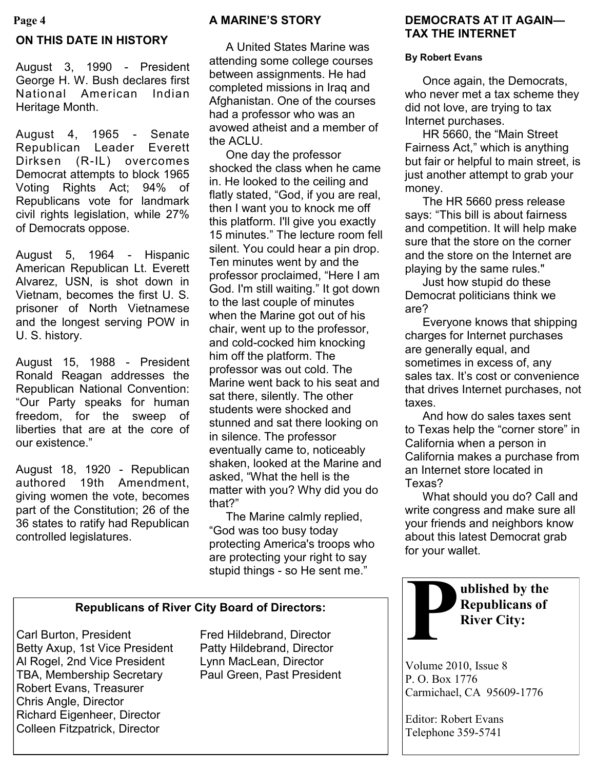#### **Page 4**

# **ON THIS DATE IN HISTORY**

August 3, 1990 - President George H. W. Bush declares first National American Indian Heritage Month.

August 4, 1965 - Senate Republican Leader Everett Dirksen (R-IL) overcomes Democrat attempts to block 1965 Voting Rights Act; 94% of Republicans vote for landmark civil rights legislation, while 27% of Democrats oppose.

August 5, 1964 - Hispanic American Republican Lt. Everett Alvarez, USN, is shot down in Vietnam, becomes the first U. S. prisoner of North Vietnamese and the longest serving POW in U. S. history.

August 15, 1988 - President Ronald Reagan addresses the Republican National Convention: "Our Party speaks for human freedom, for the sweep of liberties that are at the core of our existence."

August 18, 1920 - Republican authored 19th Amendment, giving women the vote, becomes part of the Constitution; 26 of the 36 states to ratify had Republican controlled legislatures.

## **A MARINE'S STORY**

A United States Marine was attending some college courses between assignments. He had completed missions in Iraq and Afghanistan. One of the courses had a professor who was an avowed atheist and a member of the ACLU.

One day the professor shocked the class when he came in. He looked to the ceiling and flatly stated, "God, if you are real, then I want you to knock me off this platform. I'll give you exactly 15 minutes." The lecture room fell silent. You could hear a pin drop. Ten minutes went by and the professor proclaimed, "Here I am God. I'm still waiting." It got down to the last couple of minutes when the Marine got out of his chair, went up to the professor, and cold-cocked him knocking him off the platform. The professor was out cold. The Marine went back to his seat and sat there, silently. The other students were shocked and stunned and sat there looking on in silence. The professor eventually came to, noticeably shaken, looked at the Marine and asked, "What the hell is the matter with you? Why did you do that?"

The Marine calmly replied, "God was too busy today protecting America's troops who are protecting your right to say stupid things - so He sent me."

### **Republicans of River City Board of Directors:**

Carl Burton, President Fred Hildebrand, Director Betty Axup, 1st Vice President Patty Hildebrand, Director Al Rogel, 2nd Vice President Lynn MacLean, Director TBA, Membership Secretary Paul Green, Past President Robert Evans, Treasurer Chris Angle, Director Richard Eigenheer, Director Colleen Fitzpatrick, Director

# **DEMOCRATS AT IT AGAIN— TAX THE INTERNET**

#### **By Robert Evans**

Once again, the Democrats, who never met a tax scheme they did not love, are trying to tax Internet purchases.

HR 5660, the "Main Street Fairness Act," which is anything but fair or helpful to main street, is just another attempt to grab your money.

The HR 5660 press release says: "This bill is about fairness and competition. It will help make sure that the store on the corner and the store on the Internet are playing by the same rules."

Just how stupid do these Democrat politicians think we are?

Everyone knows that shipping charges for Internet purchases are generally equal, and sometimes in excess of, any sales tax. It's cost or convenience that drives Internet purchases, not taxes.

And how do sales taxes sent to Texas help the "corner store" in California when a person in California makes a purchase from an Internet store located in Texas?

What should you do? Call and write congress and make sure all your friends and neighbors know about this latest Democrat grab for your wallet.



Volume 2010, Issue 8 P. O. Box 1776 Carmichael, CA 95609-1776

Editor: Robert Evans Telephone 359-5741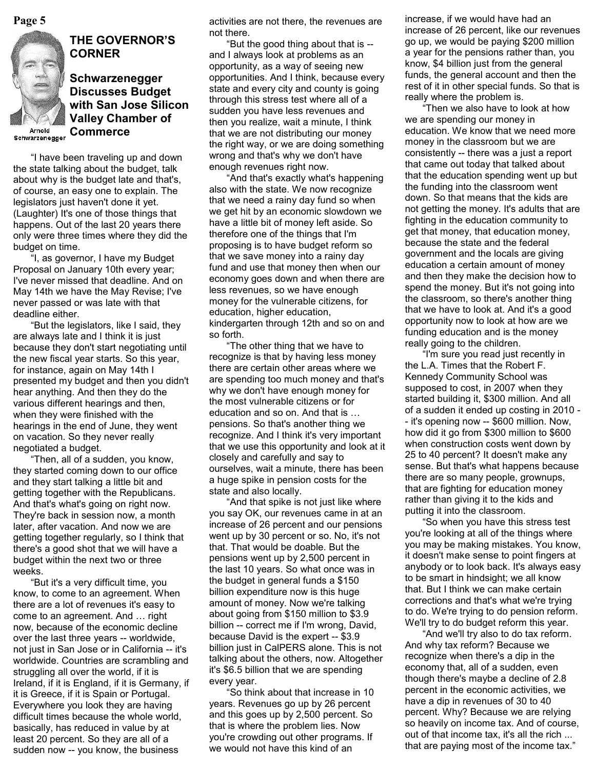

# **THE GOVERNOR'S CORNER**

## **Schwarzenegger Discusses Budget with San Jose Silicon Valley Chamber of Commerce**

Arnold Schwarzenegger

"I have been traveling up and down the state talking about the budget, talk about why is the budget late and that's, of course, an easy one to explain. The legislators just haven't done it yet. (Laughter) It's one of those things that happens. Out of the last 20 years there only were three times where they did the budget on time.

"I, as governor, I have my Budget Proposal on January 10th every year; I've never missed that deadline. And on May 14th we have the May Revise; I've never passed or was late with that deadline either.

"But the legislators, like I said, they are always late and I think it is just because they don't start negotiating until the new fiscal year starts. So this year, for instance, again on May 14th I presented my budget and then you didn't hear anything. And then they do the various different hearings and then, when they were finished with the hearings in the end of June, they went on vacation. So they never really negotiated a budget.

"Then, all of a sudden, you know, they started coming down to our office and they start talking a little bit and getting together with the Republicans. And that's what's going on right now. They're back in session now, a month later, after vacation. And now we are getting together regularly, so I think that there's a good shot that we will have a budget within the next two or three weeks.

"But it's a very difficult time, you know, to come to an agreement. When there are a lot of revenues it's easy to come to an agreement. And … right now, because of the economic decline over the last three years -- worldwide, not just in San Jose or in California -- it's worldwide. Countries are scrambling and struggling all over the world, if it is Ireland, if it is England, if it is Germany, if it is Greece, if it is Spain or Portugal. Everywhere you look they are having difficult times because the whole world, basically, has reduced in value by at least 20 percent. So they are all of a sudden now -- you know, the business

not there.

"But the good thing about that is - and I always look at problems as an opportunity, as a way of seeing new opportunities. And I think, because every state and every city and county is going through this stress test where all of a sudden you have less revenues and then you realize, wait a minute, I think that we are not distributing our money the right way, or we are doing something wrong and that's why we don't have enough revenues right now.

"And that's exactly what's happening also with the state. We now recognize that we need a rainy day fund so when we get hit by an economic slowdown we have a little bit of money left aside. So therefore one of the things that I'm proposing is to have budget reform so that we save money into a rainy day fund and use that money then when our economy goes down and when there are less revenues, so we have enough money for the vulnerable citizens, for education, higher education, kindergarten through 12th and so on and so forth.

"The other thing that we have to recognize is that by having less money there are certain other areas where we are spending too much money and that's why we don't have enough money for the most vulnerable citizens or for education and so on. And that is … pensions. So that's another thing we recognize. And I think it's very important that we use this opportunity and look at it closely and carefully and say to ourselves, wait a minute, there has been a huge spike in pension costs for the state and also locally.

"And that spike is not just like where you say OK, our revenues came in at an increase of 26 percent and our pensions went up by 30 percent or so. No, it's not that. That would be doable. But the pensions went up by 2,500 percent in the last 10 years. So what once was in the budget in general funds a \$150 billion expenditure now is this huge amount of money. Now we're talking about going from \$150 million to \$3.9 billion -- correct me if I'm wrong, David, because David is the expert -- \$3.9 billion just in CalPERS alone. This is not talking about the others, now. Altogether it's \$6.5 billion that we are spending every year.

"So think about that increase in 10 years. Revenues go up by 26 percent and this goes up by 2,500 percent. So that is where the problem lies. Now you're crowding out other programs. If we would not have this kind of an

**Page 5** increase, if we would have had an activities are not there, the revenues are increase, if we would have had an increase of 26 percent, like our revenues go up, we would be paying \$200 million a year for the pensions rather than, you know, \$4 billion just from the general funds, the general account and then the rest of it in other special funds. So that is really where the problem is.

> "Then we also have to look at how we are spending our money in education. We know that we need more money in the classroom but we are consistently -- there was a just a report that came out today that talked about that the education spending went up but the funding into the classroom went down. So that means that the kids are not getting the money. It's adults that are fighting in the education community to get that money, that education money, because the state and the federal government and the locals are giving education a certain amount of money and then they make the decision how to spend the money. But it's not going into the classroom, so there's another thing that we have to look at. And it's a good opportunity now to look at how are we funding education and is the money really going to the children.

> "I'm sure you read just recently in the L.A. Times that the Robert F. Kennedy Community School was supposed to cost, in 2007 when they started building it, \$300 million. And all of a sudden it ended up costing in 2010 - - it's opening now -- \$600 million. Now, how did it go from \$300 million to \$600 when construction costs went down by 25 to 40 percent? It doesn't make any sense. But that's what happens because there are so many people, grownups, that are fighting for education money rather than giving it to the kids and putting it into the classroom.

> "So when you have this stress test you're looking at all of the things where you may be making mistakes. You know, it doesn't make sense to point fingers at anybody or to look back. It's always easy to be smart in hindsight; we all know that. But I think we can make certain corrections and that's what we're trying to do. We're trying to do pension reform. We'll try to do budget reform this year.

"And we'll try also to do tax reform. And why tax reform? Because we recognize when there's a dip in the economy that, all of a sudden, even though there's maybe a decline of 2.8 percent in the economic activities, we have a dip in revenues of 30 to 40 percent. Why? Because we are relying so heavily on income tax. And of course, out of that income tax, it's all the rich ... that are paying most of the income tax."